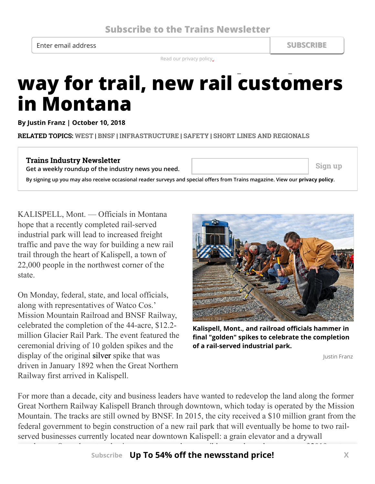Enter email address **SUBSCRIBE**

Read our privacy policy.

## Read our privacy policy... **way for trail, new rail customers in Montana**

**By [Justin Franz](http://trn.trains.com/authors/justin-franz) | October 10, 2018**

**RELATED TOPICS: [WEST](http://trn.trains.com/tags/west) | [BNSF](http://trn.trains.com/tags/bnsf) | [INFRASTRUCTURE](http://trn.trains.com/tags/infrastructure) | [SAFETY](http://trn.trains.com/tags/safety) | [SHORT LINES AND REGIONALS](http://trn.trains.com/tags/short-lines-and-regionals)**

## **Trains Industry Newsletter Get a weekly roundup of the industry news you need.**  $\begin{vmatrix} \cdot & \cdot & \cdot \\ \cdot & \cdot & \cdot \end{vmatrix}$  sign up By signing up you may also receive occasional reader surveys and special offers from Trains magazine. View our *[privacy policy](http://www.kalmbach.com/privacy)*.

KALISPELL, Mont. — Officials in Montana hope that a recently completed rail-served industrial park will lead to increased freight traffic and pave the way for building a new rail trail through the heart of Kalispell, a town of 22,000 people in the northwest corner of the state.

On Monday, federal, state, and local officials, along with representatives of Watco Cos.' Mission Mountain Railroad and BNSF Railway, celebrated the completion of the 44-acre, \$12.2 million Glacier Rail Park. The event featured the ceremonial driving of 10 golden spikes and the display of the original silver spike that was driven in January 1892 when the Great Northern Railway first arrived in Kalispell.



Kalispell, Mont., and railroad officials hammer in **nal "golden" spikes to celebrate the completion of a rail-served industrial park.**

Justin Franz

For more than a decade, city and business leaders have wanted to redevelop the land along the former Great Northern Railway Kalispell Branch through downtown, which today is operated by the Mission Mountain. The tracks are still owned by BNSF. In 2015, the city received a \$10 million grant from the federal government to begin construction of a new rail park that will eventually be home to two railserved businesses currently located near downtown Kalispell: a grain elevator and a drywall